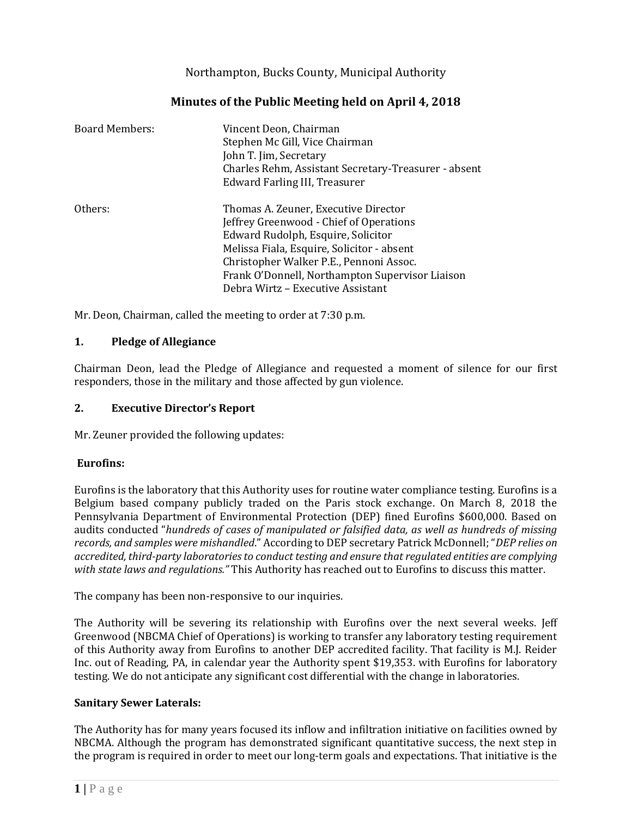# Northampton, Bucks County, Municipal Authority

| <b>Board Members:</b> | Vincent Deon, Chairman<br>Stephen Mc Gill, Vice Chairman<br>John T. Jim, Secretary<br>Charles Rehm, Assistant Secretary-Treasurer - absent<br>Edward Farling III, Treasurer |
|-----------------------|-----------------------------------------------------------------------------------------------------------------------------------------------------------------------------|
| Others:               | Thomas A. Zeuner, Executive Director<br>Jeffrey Greenwood - Chief of Operations<br>Edward Rudolph, Esquire, Solicitor<br>Melissa Fiala, Esquire, Solicitor - absent         |
|                       | Christopher Walker P.E., Pennoni Assoc.<br>Frank O'Donnell, Northampton Supervisor Liaison<br>Debra Wirtz - Executive Assistant                                             |

# **Minutes of the Public Meeting held on April 4, 2018**

Mr. Deon, Chairman, called the meeting to order at 7:30 p.m.

#### **1. Pledge of Allegiance**

Chairman Deon, lead the Pledge of Allegiance and requested a moment of silence for our first responders, those in the military and those affected by gun violence.

#### **2. Executive Director's Report**

Mr. Zeuner provided the following updates:

#### **Eurofins:**

Eurofins is the laboratory that this Authority uses for routine water compliance testing. Eurofins is a Belgium based company publicly traded on the Paris stock exchange. On March 8, 2018 the Pennsylvania Department of Environmental Protection (DEP) fined Eurofins \$600,000. Based on audits conducted "*hundreds of cases of manipulated or falsified data, as well as hundreds of missing records, and samples were mishandled*." According to DEP secretary Patrick McDonnell; "*DEP relies on accredited, third-party laboratories to conduct testing and ensure that regulated entities are complying with state laws and regulations."* This Authority has reached out to Eurofins to discuss this matter.

The company has been non-responsive to our inquiries.

The Authority will be severing its relationship with Eurofins over the next several weeks. Jeff Greenwood (NBCMA Chief of Operations) is working to transfer any laboratory testing requirement of this Authority away from Eurofins to another DEP accredited facility. That facility is M.J. Reider Inc. out of Reading, PA, in calendar year the Authority spent \$19,353. with Eurofins for laboratory testing. We do not anticipate any significant cost differential with the change in laboratories.

#### **Sanitary Sewer Laterals:**

The Authority has for many years focused its inflow and infiltration initiative on facilities owned by NBCMA. Although the program has demonstrated significant quantitative success, the next step in the program is required in order to meet our long-term goals and expectations. That initiative is the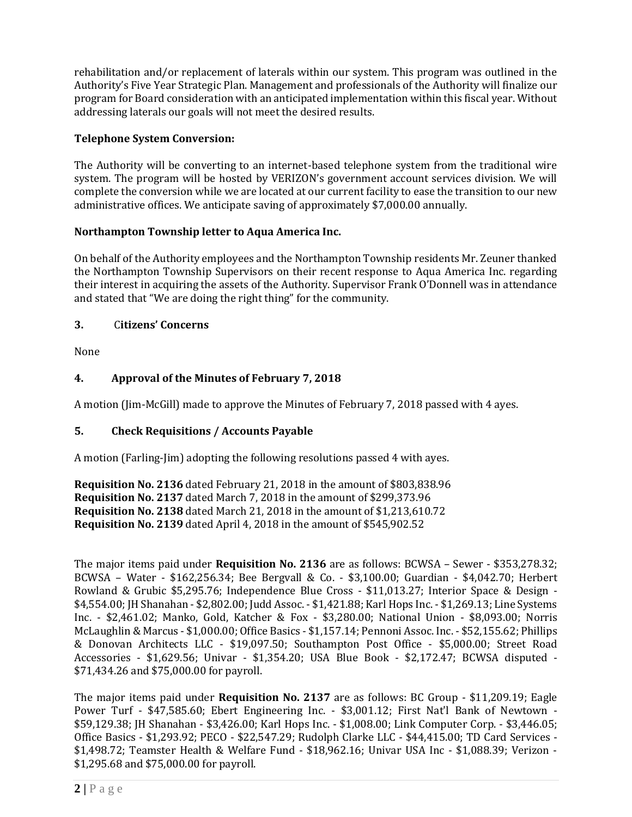rehabilitation and/or replacement of laterals within our system. This program was outlined in the Authority's Five Year Strategic Plan. Management and professionals of the Authority will finalize our program for Board consideration with an anticipated implementation within this fiscal year. Without addressing laterals our goals will not meet the desired results.

## **Telephone System Conversion:**

The Authority will be converting to an internet-based telephone system from the traditional wire system. The program will be hosted by VERIZON's government account services division. We will complete the conversion while we are located at our current facility to ease the transition to our new administrative offices. We anticipate saving of approximately \$7,000.00 annually.

## **Northampton Township letter to Aqua America Inc.**

On behalf of the Authority employees and the Northampton Township residents Mr. Zeuner thanked the Northampton Township Supervisors on their recent response to Aqua America Inc. regarding their interest in acquiring the assets of the Authority. Supervisor Frank O'Donnell was in attendance and stated that "We are doing the right thing" for the community.

#### **3.** C**itizens' Concerns**

None

## **4. Approval of the Minutes of February 7, 2018**

A motion (Jim-McGill) made to approve the Minutes of February 7, 2018 passed with 4 ayes.

## **5. Check Requisitions / Accounts Payable**

A motion (Farling-Jim) adopting the following resolutions passed 4 with ayes.

**Requisition No. 2136** dated February 21, 2018 in the amount of \$803,838.96 **Requisition No. 2137** dated March 7, 2018 in the amount of \$299,373.96 **Requisition No. 2138** dated March 21, 2018 in the amount of \$1,213,610.72 **Requisition No. 2139** dated April 4, 2018 in the amount of \$545,902.52

The major items paid under **Requisition No. 2136** are as follows: BCWSA – Sewer - \$353,278.32; BCWSA – Water - \$162,256.34; Bee Bergvall & Co. - \$3,100.00; Guardian - \$4,042.70; Herbert Rowland & Grubic \$5,295.76; Independence Blue Cross - \$11,013.27; Interior Space & Design - \$4,554.00; JH Shanahan - \$2,802.00; Judd Assoc. - \$1,421.88; Karl Hops Inc. - \$1,269.13; Line Systems Inc. - \$2,461.02; Manko, Gold, Katcher & Fox - \$3,280.00; National Union - \$8,093.00; Norris McLaughlin & Marcus - \$1,000.00; Office Basics - \$1,157.14; Pennoni Assoc. Inc. - \$52,155.62; Phillips & Donovan Architects LLC - \$19,097.50; Southampton Post Office - \$5,000.00; Street Road Accessories - \$1,629.56; Univar - \$1,354.20; USA Blue Book - \$2,172.47; BCWSA disputed - \$71,434.26 and \$75,000.00 for payroll.

The major items paid under **Requisition No. 2137** are as follows: BC Group - \$11,209.19; Eagle Power Turf - \$47,585.60; Ebert Engineering Inc. - \$3,001.12; First Nat'l Bank of Newtown - \$59,129.38; JH Shanahan - \$3,426.00; Karl Hops Inc. - \$1,008.00; Link Computer Corp. - \$3,446.05; Office Basics - \$1,293.92; PECO - \$22,547.29; Rudolph Clarke LLC - \$44,415.00; TD Card Services - \$1,498.72; Teamster Health & Welfare Fund - \$18,962.16; Univar USA Inc - \$1,088.39; Verizon - \$1,295.68 and \$75,000.00 for payroll.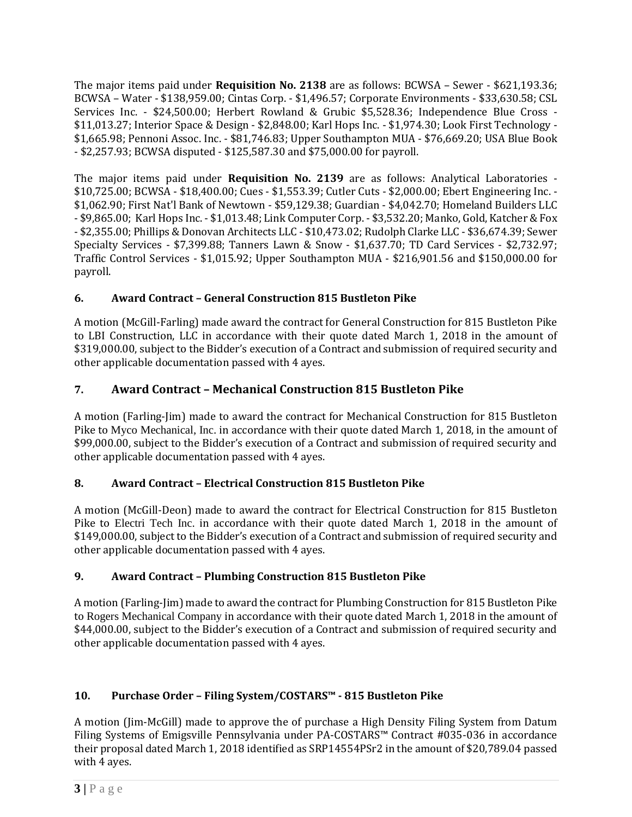The major items paid under **Requisition No. 2138** are as follows: BCWSA – Sewer - \$621,193.36; BCWSA – Water - \$138,959.00; Cintas Corp. - \$1,496.57; Corporate Environments - \$33,630.58; CSL Services Inc. - \$24,500.00; Herbert Rowland & Grubic \$5,528.36; Independence Blue Cross - \$11,013.27; Interior Space & Design - \$2,848.00; Karl Hops Inc. - \$1,974.30; Look First Technology - \$1,665.98; Pennoni Assoc. Inc. - \$81,746.83; Upper Southampton MUA - \$76,669.20; USA Blue Book - \$2,257.93; BCWSA disputed - \$125,587.30 and \$75,000.00 for payroll.

The major items paid under **Requisition No. 2139** are as follows: Analytical Laboratories - \$10,725.00; BCWSA - \$18,400.00; Cues - \$1,553.39; Cutler Cuts - \$2,000.00; Ebert Engineering Inc. - \$1,062.90; First Nat'l Bank of Newtown - \$59,129.38; Guardian - \$4,042.70; Homeland Builders LLC - \$9,865.00; Karl Hops Inc. - \$1,013.48; Link Computer Corp. - \$3,532.20; Manko, Gold, Katcher & Fox - \$2,355.00; Phillips & Donovan Architects LLC - \$10,473.02; Rudolph Clarke LLC - \$36,674.39; Sewer Specialty Services - \$7,399.88; Tanners Lawn & Snow - \$1,637.70; TD Card Services - \$2,732.97; Traffic Control Services - \$1,015.92; Upper Southampton MUA - \$216,901.56 and \$150,000.00 for payroll.

# **6. Award Contract – General Construction 815 Bustleton Pike**

A motion (McGill-Farling) made award the contract for General Construction for 815 Bustleton Pike to LBI Construction, LLC in accordance with their quote dated March 1, 2018 in the amount of \$319,000.00, subject to the Bidder's execution of a Contract and submission of required security and other applicable documentation passed with 4 ayes.

# **7. Award Contract – Mechanical Construction 815 Bustleton Pike**

A motion (Farling-Jim) made to award the contract for Mechanical Construction for 815 Bustleton Pike to Myco Mechanical, Inc. in accordance with their quote dated March 1, 2018, in the amount of \$99,000.00, subject to the Bidder's execution of a Contract and submission of required security and other applicable documentation passed with 4 ayes.

# **8. Award Contract – Electrical Construction 815 Bustleton Pike**

A motion (McGill-Deon) made to award the contract for Electrical Construction for 815 Bustleton Pike to Electri Tech Inc. in accordance with their quote dated March 1, 2018 in the amount of \$149,000.00, subject to the Bidder's execution of a Contract and submission of required security and other applicable documentation passed with 4 ayes.

# **9. Award Contract – Plumbing Construction 815 Bustleton Pike**

A motion (Farling-Jim) made to award the contract for Plumbing Construction for 815 Bustleton Pike to Rogers Mechanical Company in accordance with their quote dated March 1, 2018 in the amount of \$44,000.00, subject to the Bidder's execution of a Contract and submission of required security and other applicable documentation passed with 4 ayes.

# **10. Purchase Order – Filing System/COSTARS™ - 815 Bustleton Pike**

A motion (Jim-McGill) made to approve the of purchase a High Density Filing System from Datum Filing Systems of Emigsville Pennsylvania under PA-COSTARS™ Contract #035-036 in accordance their proposal dated March 1, 2018 identified as SRP14554PSr2 in the amount of \$20,789.04 passed with 4 ayes.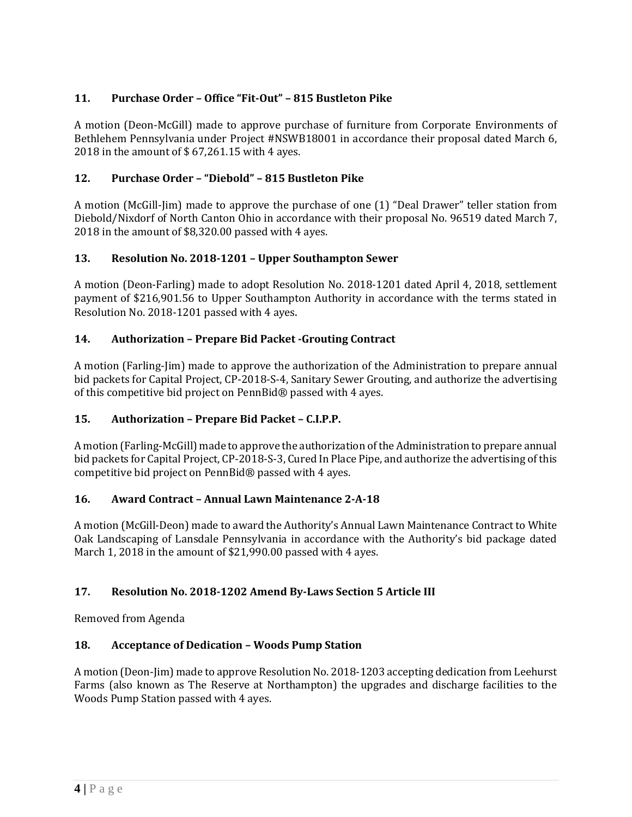# **11. Purchase Order – Office "Fit-Out" – 815 Bustleton Pike**

A motion (Deon-McGill) made to approve purchase of furniture from Corporate Environments of Bethlehem Pennsylvania under Project #NSWB18001 in accordance their proposal dated March 6, 2018 in the amount of \$ 67,261.15 with 4 ayes.

## **12. Purchase Order – "Diebold" – 815 Bustleton Pike**

A motion (McGill-Jim) made to approve the purchase of one (1) "Deal Drawer" teller station from Diebold/Nixdorf of North Canton Ohio in accordance with their proposal No. 96519 dated March 7, 2018 in the amount of \$8,320.00 passed with 4 ayes.

## **13. Resolution No. 2018-1201 – Upper Southampton Sewer**

A motion (Deon-Farling) made to adopt Resolution No. 2018-1201 dated April 4, 2018, settlement payment of \$216,901.56 to Upper Southampton Authority in accordance with the terms stated in Resolution No. 2018-1201 passed with 4 ayes.

## **14. Authorization – Prepare Bid Packet -Grouting Contract**

A motion (Farling-Jim) made to approve the authorization of the Administration to prepare annual bid packets for Capital Project, CP-2018-S-4, Sanitary Sewer Grouting, and authorize the advertising of this competitive bid project on PennBid® passed with 4 ayes.

## **15. Authorization – Prepare Bid Packet – C.I.P.P.**

A motion (Farling-McGill) made to approve the authorization of the Administration to prepare annual bid packets for Capital Project, CP-2018-S-3, Cured In Place Pipe, and authorize the advertising of this competitive bid project on PennBid® passed with 4 ayes.

## **16. Award Contract – Annual Lawn Maintenance 2-A-18**

A motion (McGill-Deon) made to award the Authority's Annual Lawn Maintenance Contract to White Oak Landscaping of Lansdale Pennsylvania in accordance with the Authority's bid package dated March 1, 2018 in the amount of \$21,990.00 passed with 4 ayes.

## **17. Resolution No. 2018-1202 Amend By-Laws Section 5 Article III**

Removed from Agenda

## **18. Acceptance of Dedication – Woods Pump Station**

A motion (Deon-Jim) made to approve Resolution No. 2018-1203 accepting dedication from Leehurst Farms (also known as The Reserve at Northampton) the upgrades and discharge facilities to the Woods Pump Station passed with 4 ayes.